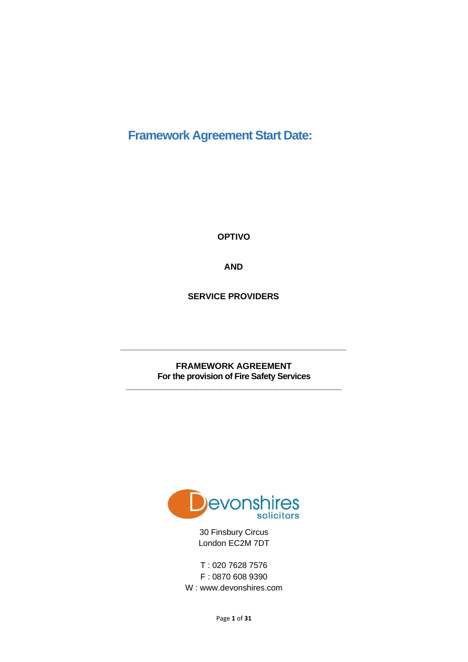# **Framework Agreement Start Date:**

**OPTIVO** 

**AND**

**SERVICE PROVIDERS**

**FRAMEWORK AGREEMENT For the provision of Fire Safety Services \_\_\_\_\_\_\_\_\_\_\_\_\_\_\_\_\_\_\_\_\_\_\_\_\_\_\_\_\_\_\_\_\_\_\_\_\_\_\_\_\_\_\_\_\_\_**

**\_\_\_\_\_\_\_\_\_\_\_\_\_\_\_\_\_\_\_\_\_\_\_\_\_\_\_\_\_\_\_\_\_\_\_\_\_\_\_\_\_\_\_\_\_\_\_**



30 Finsbury Circus London EC2M 7DT

T : 020 7628 7576 F : 0870 608 9390 W : www.devonshires.com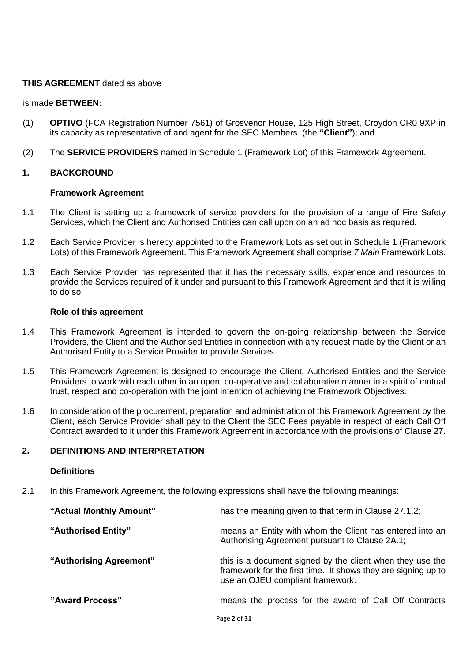# **THIS AGREEMENT** dated as above

#### is made **BETWEEN:**

- (1) **OPTIVO** (FCA Registration Number 7561) of Grosvenor House, 125 High Street, Croydon CR0 9XP in its capacity as representative of and agent for the SEC Members (the **"Client"**); and
- (2) The **SERVICE PROVIDERS** named in Schedule 1 (Framework Lot) of this Framework Agreement.

# **1. BACKGROUND**

#### **Framework Agreement**

- 1.1 The Client is setting up a framework of service providers for the provision of a range of Fire Safety Services, which the Client and Authorised Entities can call upon on an ad hoc basis as required.
- 1.2 Each Service Provider is hereby appointed to the Framework Lots as set out in Schedule 1 (Framework Lots) of this Framework Agreement. This Framework Agreement shall comprise *7 Main* Framework Lots.
- 1.3 Each Service Provider has represented that it has the necessary skills, experience and resources to provide the Services required of it under and pursuant to this Framework Agreement and that it is willing to do so.

#### **Role of this agreement**

- 1.4 This Framework Agreement is intended to govern the on-going relationship between the Service Providers, the Client and the Authorised Entities in connection with any request made by the Client or an Authorised Entity to a Service Provider to provide Services.
- 1.5 This Framework Agreement is designed to encourage the Client, Authorised Entities and the Service Providers to work with each other in an open, co-operative and collaborative manner in a spirit of mutual trust, respect and co-operation with the joint intention of achieving the Framework Objectives.
- 1.6 In consideration of the procurement, preparation and administration of this Framework Agreement by the Client, each Service Provider shall pay to the Client the SEC Fees payable in respect of each Call Off Contract awarded to it under this Framework Agreement in accordance with the provisions of Clause 27.

# **2. DEFINITIONS AND INTERPRETATION**

#### **Definitions**

2.1 In this Framework Agreement, the following expressions shall have the following meanings:

| "Actual Monthly Amount" | has the meaning given to that term in Clause 27.1.2;                                                                                                           |
|-------------------------|----------------------------------------------------------------------------------------------------------------------------------------------------------------|
| "Authorised Entity"     | means an Entity with whom the Client has entered into an<br>Authorising Agreement pursuant to Clause 2A.1;                                                     |
| "Authorising Agreement" | this is a document signed by the client when they use the<br>framework for the first time. It shows they are signing up to<br>use an OJEU compliant framework. |
| "Award Process"         | means the process for the award of Call Off Contracts                                                                                                          |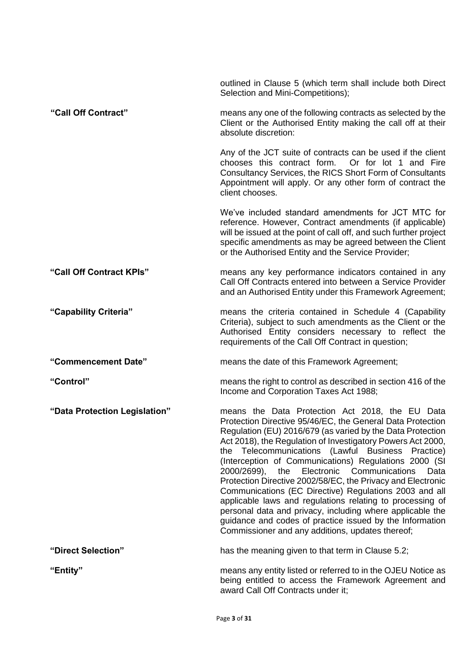|                               | outlined in Clause 5 (which term shall include both Direct<br>Selection and Mini-Competitions);                                                                                                                                                                                                                                                                                                                                                                                                                                                                                                                                                                                                                                                                                           |
|-------------------------------|-------------------------------------------------------------------------------------------------------------------------------------------------------------------------------------------------------------------------------------------------------------------------------------------------------------------------------------------------------------------------------------------------------------------------------------------------------------------------------------------------------------------------------------------------------------------------------------------------------------------------------------------------------------------------------------------------------------------------------------------------------------------------------------------|
| "Call Off Contract"           | means any one of the following contracts as selected by the<br>Client or the Authorised Entity making the call off at their<br>absolute discretion:                                                                                                                                                                                                                                                                                                                                                                                                                                                                                                                                                                                                                                       |
|                               | Any of the JCT suite of contracts can be used if the client<br>chooses this contract form.<br>Or for lot 1 and Fire<br>Consultancy Services, the RICS Short Form of Consultants<br>Appointment will apply. Or any other form of contract the<br>client chooses.                                                                                                                                                                                                                                                                                                                                                                                                                                                                                                                           |
|                               | We've included standard amendments for JCT MTC for<br>reference. However, Contract amendments (if applicable)<br>will be issued at the point of call off, and such further project<br>specific amendments as may be agreed between the Client<br>or the Authorised Entity and the Service Provider;                                                                                                                                                                                                                                                                                                                                                                                                                                                                                       |
| "Call Off Contract KPIs"      | means any key performance indicators contained in any<br>Call Off Contracts entered into between a Service Provider<br>and an Authorised Entity under this Framework Agreement;                                                                                                                                                                                                                                                                                                                                                                                                                                                                                                                                                                                                           |
| "Capability Criteria"         | means the criteria contained in Schedule 4 (Capability<br>Criteria), subject to such amendments as the Client or the<br>Authorised Entity considers necessary to reflect the<br>requirements of the Call Off Contract in question;                                                                                                                                                                                                                                                                                                                                                                                                                                                                                                                                                        |
| "Commencement Date"           | means the date of this Framework Agreement;                                                                                                                                                                                                                                                                                                                                                                                                                                                                                                                                                                                                                                                                                                                                               |
| "Control"                     | means the right to control as described in section 416 of the<br>Income and Corporation Taxes Act 1988;                                                                                                                                                                                                                                                                                                                                                                                                                                                                                                                                                                                                                                                                                   |
| "Data Protection Legislation" | means the Data Protection Act 2018, the EU Data<br>Protection Directive 95/46/EC, the General Data Protection<br>Regulation (EU) 2016/679 (as varied by the Data Protection<br>Act 2018), the Regulation of Investigatory Powers Act 2000,<br>the Telecommunications (Lawful Business Practice)<br>(Interception of Communications) Regulations 2000 (SI<br>the<br>Electronic<br>Communications<br>2000/2699),<br>Data<br>Protection Directive 2002/58/EC, the Privacy and Electronic<br>Communications (EC Directive) Regulations 2003 and all<br>applicable laws and regulations relating to processing of<br>personal data and privacy, including where applicable the<br>guidance and codes of practice issued by the Information<br>Commissioner and any additions, updates thereof; |
| "Direct Selection"            | has the meaning given to that term in Clause 5.2;                                                                                                                                                                                                                                                                                                                                                                                                                                                                                                                                                                                                                                                                                                                                         |
| "Entity"                      | means any entity listed or referred to in the OJEU Notice as<br>being entitled to access the Framework Agreement and<br>award Call Off Contracts under it;                                                                                                                                                                                                                                                                                                                                                                                                                                                                                                                                                                                                                                |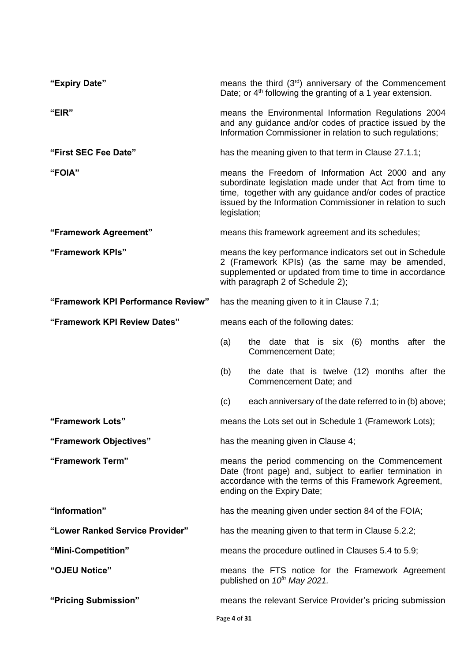| "Expiry Date"                      | means the third (3rd) anniversary of the Commencement<br>Date; or $4th$ following the granting of a 1 year extension.                                                                                                                                    |
|------------------------------------|----------------------------------------------------------------------------------------------------------------------------------------------------------------------------------------------------------------------------------------------------------|
| "EIR"                              | means the Environmental Information Regulations 2004<br>and any guidance and/or codes of practice issued by the<br>Information Commissioner in relation to such regulations;                                                                             |
| "First SEC Fee Date"               | has the meaning given to that term in Clause 27.1.1;                                                                                                                                                                                                     |
| "FOIA"                             | means the Freedom of Information Act 2000 and any<br>subordinate legislation made under that Act from time to<br>time, together with any guidance and/or codes of practice<br>issued by the Information Commissioner in relation to such<br>legislation; |
| "Framework Agreement"              | means this framework agreement and its schedules;                                                                                                                                                                                                        |
| "Framework KPIs"                   | means the key performance indicators set out in Schedule<br>2 (Framework KPIs) (as the same may be amended,<br>supplemented or updated from time to time in accordance<br>with paragraph 2 of Schedule 2);                                               |
| "Framework KPI Performance Review" | has the meaning given to it in Clause 7.1;                                                                                                                                                                                                               |
| "Framework KPI Review Dates"       | means each of the following dates:                                                                                                                                                                                                                       |
|                                    | (a)<br>the date that is six $(6)$<br>months after the<br>Commencement Date;                                                                                                                                                                              |
|                                    | the date that is twelve (12) months after the<br>(b)<br>Commencement Date; and                                                                                                                                                                           |
|                                    | each anniversary of the date referred to in (b) above;<br>(c)                                                                                                                                                                                            |
| "Framework Lots"                   | means the Lots set out in Schedule 1 (Framework Lots);                                                                                                                                                                                                   |
| "Framework Objectives"             | has the meaning given in Clause 4;                                                                                                                                                                                                                       |
| "Framework Term"                   | means the period commencing on the Commencement<br>Date (front page) and, subject to earlier termination in<br>accordance with the terms of this Framework Agreement,<br>ending on the Expiry Date;                                                      |
| "Information"                      | has the meaning given under section 84 of the FOIA;                                                                                                                                                                                                      |
| "Lower Ranked Service Provider"    | has the meaning given to that term in Clause 5.2.2;                                                                                                                                                                                                      |
| "Mini-Competition"                 | means the procedure outlined in Clauses 5.4 to 5.9;                                                                                                                                                                                                      |
| "OJEU Notice"                      | means the FTS notice for the Framework Agreement<br>published on $10^{th}$ May 2021.                                                                                                                                                                     |
| "Pricing Submission"               | means the relevant Service Provider's pricing submission<br>Page 4 of 31                                                                                                                                                                                 |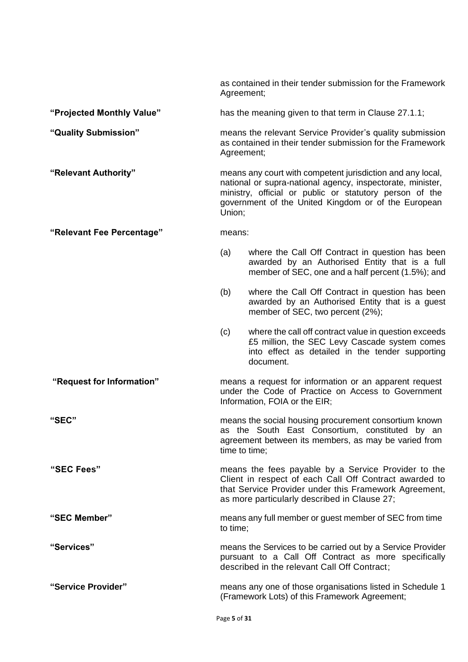as contained in their tender submission for the Framework Agreement;

# **"Projected Monthly Value"** has the meaning given to that term in Clause 27.1.1;

**"Quality Submission"** means the relevant Service Provider's quality submission as contained in their tender submission for the Framework Agreement;

**"Relevant Authority"** means any court with competent jurisdiction and any local, national or supra-national agency, inspectorate, minister, ministry, official or public or statutory person of the government of the United Kingdom or of the European Union;

#### **"Relevant Fee Percentage"** means:

- (a) where the Call Off Contract in question has been awarded by an Authorised Entity that is a full member of SEC, one and a half percent (1.5%); and
- (b) where the Call Off Contract in question has been awarded by an Authorised Entity that is a guest member of SEC, two percent (2%);
- (c) where the call off contract value in question exceeds £5 million, the SEC Levy Cascade system comes into effect as detailed in the tender supporting document.

**"Request for Information"** means a request for information or an apparent request under the Code of Practice on Access to Government Information, FOIA or the EIR;

**"SEC"** means the social housing procurement consortium known as the South East Consortium, constituted by an agreement between its members, as may be varied from time to time;

**"SEC Fees"** means the fees payable by a Service Provider to the Client in respect of each Call Off Contract awarded to that Service Provider under this Framework Agreement, as more particularly described in Clause 27;

**"SEC Member"** means any full member or guest member of SEC from time to time;

**"Services"** means the Services to be carried out by a Service Provider pursuant to a Call Off Contract as more specifically described in the relevant Call Off Contract;

**"Service Provider"** means any one of those organisations listed in Schedule 1 (Framework Lots) of this Framework Agreement;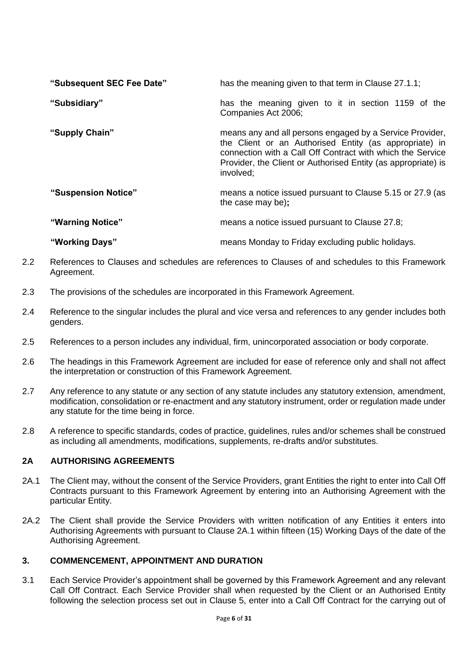| "Subsequent SEC Fee Date" | has the meaning given to that term in Clause 27.1.1;                                                                                                                                                                                                           |  |
|---------------------------|----------------------------------------------------------------------------------------------------------------------------------------------------------------------------------------------------------------------------------------------------------------|--|
| "Subsidiary"              | has the meaning given to it in section 1159 of the<br>Companies Act 2006;                                                                                                                                                                                      |  |
| "Supply Chain"            | means any and all persons engaged by a Service Provider,<br>the Client or an Authorised Entity (as appropriate) in<br>connection with a Call Off Contract with which the Service<br>Provider, the Client or Authorised Entity (as appropriate) is<br>involved; |  |
| "Suspension Notice"       | means a notice issued pursuant to Clause 5.15 or 27.9 (as<br>the case may be);                                                                                                                                                                                 |  |
| "Warning Notice"          | means a notice issued pursuant to Clause 27.8;                                                                                                                                                                                                                 |  |
| "Working Days"            | means Monday to Friday excluding public holidays.                                                                                                                                                                                                              |  |

- 2.2 References to Clauses and schedules are references to Clauses of and schedules to this Framework Agreement.
- 2.3 The provisions of the schedules are incorporated in this Framework Agreement.
- 2.4 Reference to the singular includes the plural and vice versa and references to any gender includes both genders.
- 2.5 References to a person includes any individual, firm, unincorporated association or body corporate.
- 2.6 The headings in this Framework Agreement are included for ease of reference only and shall not affect the interpretation or construction of this Framework Agreement.
- 2.7 Any reference to any statute or any section of any statute includes any statutory extension, amendment, modification, consolidation or re-enactment and any statutory instrument, order or regulation made under any statute for the time being in force.
- 2.8 A reference to specific standards, codes of practice, guidelines, rules and/or schemes shall be construed as including all amendments, modifications, supplements, re-drafts and/or substitutes.

# **2A AUTHORISING AGREEMENTS**

- 2A.1 The Client may, without the consent of the Service Providers, grant Entities the right to enter into Call Off Contracts pursuant to this Framework Agreement by entering into an Authorising Agreement with the particular Entity.
- 2A.2 The Client shall provide the Service Providers with written notification of any Entities it enters into Authorising Agreements with pursuant to Clause 2A.1 within fifteen (15) Working Days of the date of the Authorising Agreement.

# **3. COMMENCEMENT, APPOINTMENT AND DURATION**

3.1 Each Service Provider's appointment shall be governed by this Framework Agreement and any relevant Call Off Contract. Each Service Provider shall when requested by the Client or an Authorised Entity following the selection process set out in Clause 5, enter into a Call Off Contract for the carrying out of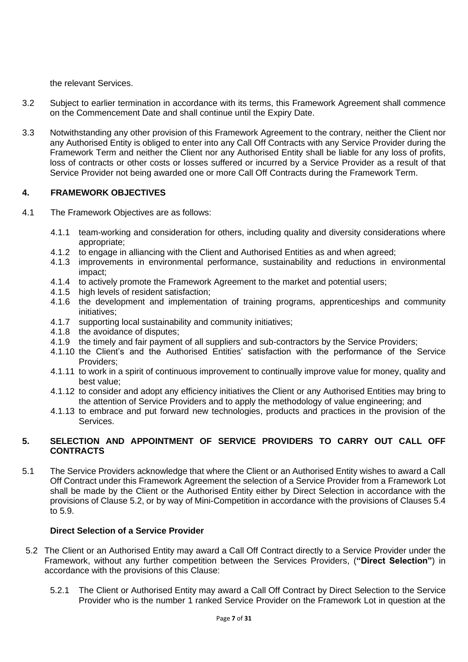the relevant Services.

- 3.2 Subject to earlier termination in accordance with its terms, this Framework Agreement shall commence on the Commencement Date and shall continue until the Expiry Date.
- 3.3 Notwithstanding any other provision of this Framework Agreement to the contrary, neither the Client nor any Authorised Entity is obliged to enter into any Call Off Contracts with any Service Provider during the Framework Term and neither the Client nor any Authorised Entity shall be liable for any loss of profits, loss of contracts or other costs or losses suffered or incurred by a Service Provider as a result of that Service Provider not being awarded one or more Call Off Contracts during the Framework Term.

# **4. FRAMEWORK OBJECTIVES**

- 4.1 The Framework Objectives are as follows:
	- 4.1.1 team-working and consideration for others, including quality and diversity considerations where appropriate;
	- 4.1.2 to engage in alliancing with the Client and Authorised Entities as and when agreed;
	- 4.1.3 improvements in environmental performance, sustainability and reductions in environmental impact;
	- 4.1.4 to actively promote the Framework Agreement to the market and potential users;
	- 4.1.5 high levels of resident satisfaction;
	- 4.1.6 the development and implementation of training programs, apprenticeships and community initiatives;
	- 4.1.7 supporting local sustainability and community initiatives;
	- 4.1.8 the avoidance of disputes;
	- 4.1.9 the timely and fair payment of all suppliers and sub-contractors by the Service Providers;
	- 4.1.10 the Client's and the Authorised Entities' satisfaction with the performance of the Service Providers;
	- 4.1.11 to work in a spirit of continuous improvement to continually improve value for money, quality and best value;
	- 4.1.12 to consider and adopt any efficiency initiatives the Client or any Authorised Entities may bring to the attention of Service Providers and to apply the methodology of value engineering; and
	- 4.1.13 to embrace and put forward new technologies, products and practices in the provision of the Services.

# **5. SELECTION AND APPOINTMENT OF SERVICE PROVIDERS TO CARRY OUT CALL OFF CONTRACTS**

5.1 The Service Providers acknowledge that where the Client or an Authorised Entity wishes to award a Call Off Contract under this Framework Agreement the selection of a Service Provider from a Framework Lot shall be made by the Client or the Authorised Entity either by Direct Selection in accordance with the provisions of Clause 5.2, or by way of Mini-Competition in accordance with the provisions of Clauses 5.4 to 5.9.

# **Direct Selection of a Service Provider**

- 5.2 The Client or an Authorised Entity may award a Call Off Contract directly to a Service Provider under the Framework, without any further competition between the Services Providers, (**"Direct Selection"**) in accordance with the provisions of this Clause:
	- 5.2.1 The Client or Authorised Entity may award a Call Off Contract by Direct Selection to the Service Provider who is the number 1 ranked Service Provider on the Framework Lot in question at the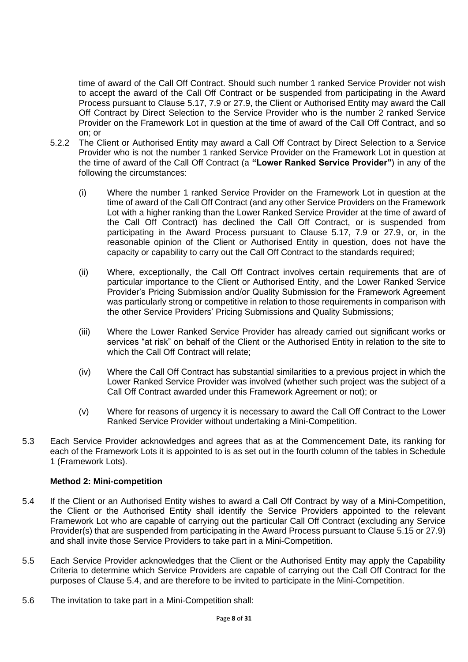time of award of the Call Off Contract. Should such number 1 ranked Service Provider not wish to accept the award of the Call Off Contract or be suspended from participating in the Award Process pursuant to Clause 5.17, 7.9 or 27.9, the Client or Authorised Entity may award the Call Off Contract by Direct Selection to the Service Provider who is the number 2 ranked Service Provider on the Framework Lot in question at the time of award of the Call Off Contract, and so on; or

- 5.2.2 The Client or Authorised Entity may award a Call Off Contract by Direct Selection to a Service Provider who is not the number 1 ranked Service Provider on the Framework Lot in question at the time of award of the Call Off Contract (a **"Lower Ranked Service Provider"**) in any of the following the circumstances:
	- (i) Where the number 1 ranked Service Provider on the Framework Lot in question at the time of award of the Call Off Contract (and any other Service Providers on the Framework Lot with a higher ranking than the Lower Ranked Service Provider at the time of award of the Call Off Contract) has declined the Call Off Contract, or is suspended from participating in the Award Process pursuant to Clause 5.17, 7.9 or 27.9, or, in the reasonable opinion of the Client or Authorised Entity in question, does not have the capacity or capability to carry out the Call Off Contract to the standards required;
	- (ii) Where, exceptionally, the Call Off Contract involves certain requirements that are of particular importance to the Client or Authorised Entity, and the Lower Ranked Service Provider's Pricing Submission and/or Quality Submission for the Framework Agreement was particularly strong or competitive in relation to those requirements in comparison with the other Service Providers' Pricing Submissions and Quality Submissions;
	- (iii) Where the Lower Ranked Service Provider has already carried out significant works or services "at risk" on behalf of the Client or the Authorised Entity in relation to the site to which the Call Off Contract will relate;
	- (iv) Where the Call Off Contract has substantial similarities to a previous project in which the Lower Ranked Service Provider was involved (whether such project was the subject of a Call Off Contract awarded under this Framework Agreement or not); or
	- (v) Where for reasons of urgency it is necessary to award the Call Off Contract to the Lower Ranked Service Provider without undertaking a Mini-Competition.
- 5.3 Each Service Provider acknowledges and agrees that as at the Commencement Date, its ranking for each of the Framework Lots it is appointed to is as set out in the fourth column of the tables in Schedule 1 (Framework Lots).

# **Method 2: Mini-competition**

- 5.4 If the Client or an Authorised Entity wishes to award a Call Off Contract by way of a Mini-Competition, the Client or the Authorised Entity shall identify the Service Providers appointed to the relevant Framework Lot who are capable of carrying out the particular Call Off Contract (excluding any Service Provider(s) that are suspended from participating in the Award Process pursuant to Clause 5.15 or 27.9) and shall invite those Service Providers to take part in a Mini-Competition.
- 5.5 Each Service Provider acknowledges that the Client or the Authorised Entity may apply the Capability Criteria to determine which Service Providers are capable of carrying out the Call Off Contract for the purposes of Clause 5.4, and are therefore to be invited to participate in the Mini-Competition.
- 5.6 The invitation to take part in a Mini-Competition shall: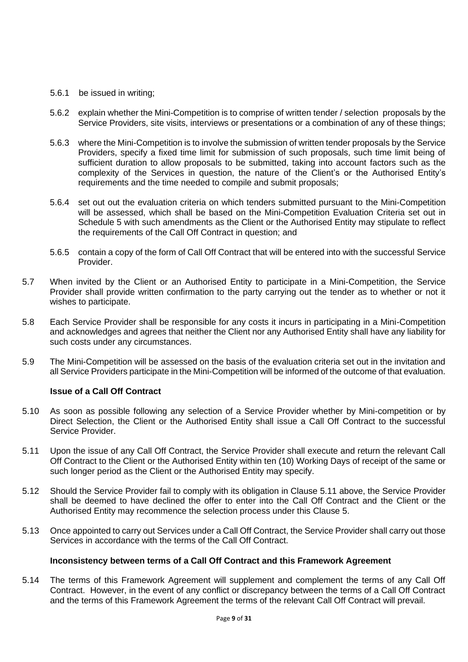- 5.6.1 be issued in writing;
- 5.6.2 explain whether the Mini-Competition is to comprise of written tender / selection proposals by the Service Providers, site visits, interviews or presentations or a combination of any of these things;
- 5.6.3 where the Mini-Competition is to involve the submission of written tender proposals by the Service Providers, specify a fixed time limit for submission of such proposals, such time limit being of sufficient duration to allow proposals to be submitted, taking into account factors such as the complexity of the Services in question, the nature of the Client's or the Authorised Entity's requirements and the time needed to compile and submit proposals;
- 5.6.4 set out out the evaluation criteria on which tenders submitted pursuant to the Mini-Competition will be assessed, which shall be based on the Mini-Competition Evaluation Criteria set out in Schedule 5 with such amendments as the Client or the Authorised Entity may stipulate to reflect the requirements of the Call Off Contract in question; and
- 5.6.5 contain a copy of the form of Call Off Contract that will be entered into with the successful Service Provider.
- 5.7 When invited by the Client or an Authorised Entity to participate in a Mini-Competition, the Service Provider shall provide written confirmation to the party carrying out the tender as to whether or not it wishes to participate.
- 5.8 Each Service Provider shall be responsible for any costs it incurs in participating in a Mini-Competition and acknowledges and agrees that neither the Client nor any Authorised Entity shall have any liability for such costs under any circumstances.
- 5.9 The Mini-Competition will be assessed on the basis of the evaluation criteria set out in the invitation and all Service Providers participate in the Mini-Competition will be informed of the outcome of that evaluation.

# **Issue of a Call Off Contract**

- 5.10 As soon as possible following any selection of a Service Provider whether by Mini-competition or by Direct Selection, the Client or the Authorised Entity shall issue a Call Off Contract to the successful Service Provider.
- 5.11 Upon the issue of any Call Off Contract, the Service Provider shall execute and return the relevant Call Off Contract to the Client or the Authorised Entity within ten (10) Working Days of receipt of the same or such longer period as the Client or the Authorised Entity may specify.
- 5.12 Should the Service Provider fail to comply with its obligation in Clause 5.11 above, the Service Provider shall be deemed to have declined the offer to enter into the Call Off Contract and the Client or the Authorised Entity may recommence the selection process under this Clause 5.
- 5.13 Once appointed to carry out Services under a Call Off Contract, the Service Provider shall carry out those Services in accordance with the terms of the Call Off Contract.

#### **Inconsistency between terms of a Call Off Contract and this Framework Agreement**

5.14 The terms of this Framework Agreement will supplement and complement the terms of any Call Off Contract. However, in the event of any conflict or discrepancy between the terms of a Call Off Contract and the terms of this Framework Agreement the terms of the relevant Call Off Contract will prevail.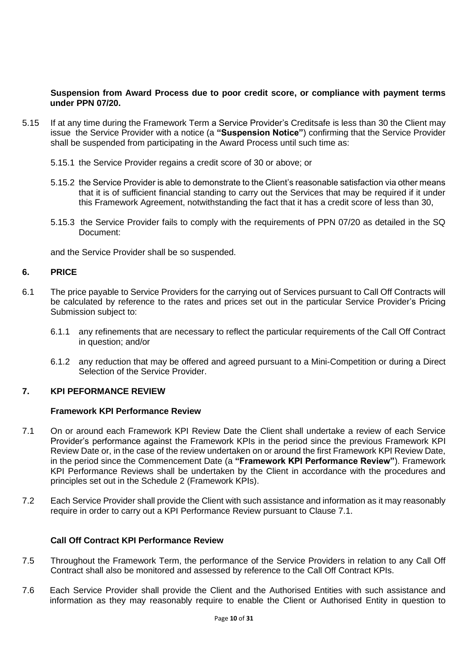#### **Suspension from Award Process due to poor credit score, or compliance with payment terms under PPN 07/20.**

- 5.15 If at any time during the Framework Term a Service Provider's Creditsafe is less than 30 the Client may issue the Service Provider with a notice (a **"Suspension Notice"**) confirming that the Service Provider shall be suspended from participating in the Award Process until such time as:
	- 5.15.1 the Service Provider regains a credit score of 30 or above; or
	- 5.15.2 the Service Provider is able to demonstrate to the Client's reasonable satisfaction via other means that it is of sufficient financial standing to carry out the Services that may be required if it under this Framework Agreement, notwithstanding the fact that it has a credit score of less than 30,
	- 5.15.3 the Service Provider fails to comply with the requirements of PPN 07/20 as detailed in the SQ Document:

and the Service Provider shall be so suspended.

#### **6. PRICE**

- 6.1 The price payable to Service Providers for the carrying out of Services pursuant to Call Off Contracts will be calculated by reference to the rates and prices set out in the particular Service Provider's Pricing Submission subject to:
	- 6.1.1 any refinements that are necessary to reflect the particular requirements of the Call Off Contract in question; and/or
	- 6.1.2 any reduction that may be offered and agreed pursuant to a Mini-Competition or during a Direct Selection of the Service Provider.

#### **7. KPI PEFORMANCE REVIEW**

### **Framework KPI Performance Review**

- 7.1 On or around each Framework KPI Review Date the Client shall undertake a review of each Service Provider's performance against the Framework KPIs in the period since the previous Framework KPI Review Date or, in the case of the review undertaken on or around the first Framework KPI Review Date, in the period since the Commencement Date (a **"Framework KPI Performance Review"**). Framework KPI Performance Reviews shall be undertaken by the Client in accordance with the procedures and principles set out in the Schedule 2 (Framework KPIs).
- 7.2 Each Service Provider shall provide the Client with such assistance and information as it may reasonably require in order to carry out a KPI Performance Review pursuant to Clause 7.1.

#### **Call Off Contract KPI Performance Review**

- 7.5 Throughout the Framework Term, the performance of the Service Providers in relation to any Call Off Contract shall also be monitored and assessed by reference to the Call Off Contract KPIs.
- 7.6 Each Service Provider shall provide the Client and the Authorised Entities with such assistance and information as they may reasonably require to enable the Client or Authorised Entity in question to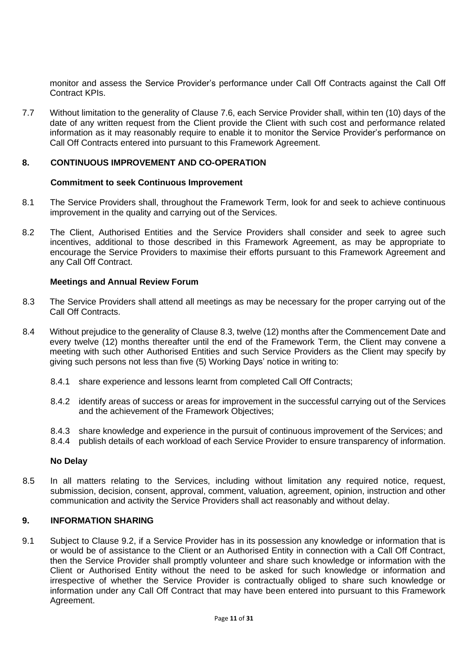monitor and assess the Service Provider's performance under Call Off Contracts against the Call Off Contract KPIs.

7.7 Without limitation to the generality of Clause 7.6, each Service Provider shall, within ten (10) days of the date of any written request from the Client provide the Client with such cost and performance related information as it may reasonably require to enable it to monitor the Service Provider's performance on Call Off Contracts entered into pursuant to this Framework Agreement.

### **8. CONTINUOUS IMPROVEMENT AND CO-OPERATION**

#### **Commitment to seek Continuous Improvement**

- 8.1 The Service Providers shall, throughout the Framework Term, look for and seek to achieve continuous improvement in the quality and carrying out of the Services.
- 8.2 The Client, Authorised Entities and the Service Providers shall consider and seek to agree such incentives, additional to those described in this Framework Agreement, as may be appropriate to encourage the Service Providers to maximise their efforts pursuant to this Framework Agreement and any Call Off Contract.

#### **Meetings and Annual Review Forum**

- 8.3 The Service Providers shall attend all meetings as may be necessary for the proper carrying out of the Call Off Contracts.
- 8.4 Without prejudice to the generality of Clause 8.3, twelve (12) months after the Commencement Date and every twelve (12) months thereafter until the end of the Framework Term, the Client may convene a meeting with such other Authorised Entities and such Service Providers as the Client may specify by giving such persons not less than five (5) Working Days' notice in writing to:
	- 8.4.1 share experience and lessons learnt from completed Call Off Contracts;
	- 8.4.2 identify areas of success or areas for improvement in the successful carrying out of the Services and the achievement of the Framework Objectives;
	- 8.4.3 share knowledge and experience in the pursuit of continuous improvement of the Services; and
	- 8.4.4 publish details of each workload of each Service Provider to ensure transparency of information.

#### **No Delay**

8.5 In all matters relating to the Services, including without limitation any required notice, request, submission, decision, consent, approval, comment, valuation, agreement, opinion, instruction and other communication and activity the Service Providers shall act reasonably and without delay.

# **9. INFORMATION SHARING**

9.1 Subject to Clause 9.2, if a Service Provider has in its possession any knowledge or information that is or would be of assistance to the Client or an Authorised Entity in connection with a Call Off Contract, then the Service Provider shall promptly volunteer and share such knowledge or information with the Client or Authorised Entity without the need to be asked for such knowledge or information and irrespective of whether the Service Provider is contractually obliged to share such knowledge or information under any Call Off Contract that may have been entered into pursuant to this Framework Agreement.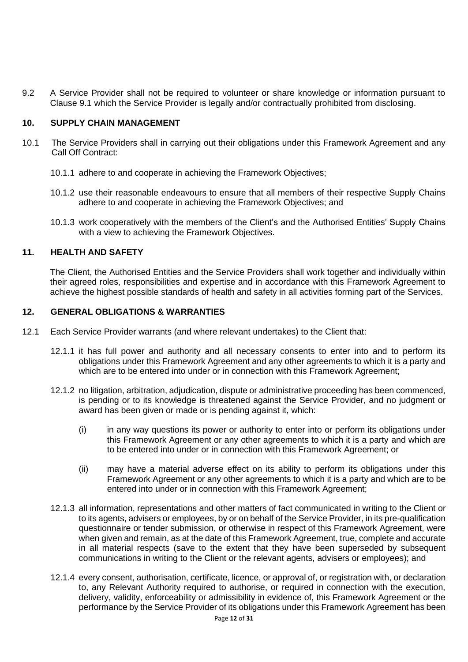9.2 A Service Provider shall not be required to volunteer or share knowledge or information pursuant to Clause 9.1 which the Service Provider is legally and/or contractually prohibited from disclosing.

# **10. SUPPLY CHAIN MANAGEMENT**

- 10.1 The Service Providers shall in carrying out their obligations under this Framework Agreement and any Call Off Contract:
	- 10.1.1 adhere to and cooperate in achieving the Framework Objectives;
	- 10.1.2 use their reasonable endeavours to ensure that all members of their respective Supply Chains adhere to and cooperate in achieving the Framework Objectives; and
	- 10.1.3 work cooperatively with the members of the Client's and the Authorised Entities' Supply Chains with a view to achieving the Framework Objectives.

#### **11. HEALTH AND SAFETY**

The Client, the Authorised Entities and the Service Providers shall work together and individually within their agreed roles, responsibilities and expertise and in accordance with this Framework Agreement to achieve the highest possible standards of health and safety in all activities forming part of the Services.

#### **12. GENERAL OBLIGATIONS & WARRANTIES**

- 12.1 Each Service Provider warrants (and where relevant undertakes) to the Client that:
	- 12.1.1 it has full power and authority and all necessary consents to enter into and to perform its obligations under this Framework Agreement and any other agreements to which it is a party and which are to be entered into under or in connection with this Framework Agreement;
	- 12.1.2 no litigation, arbitration, adjudication, dispute or administrative proceeding has been commenced, is pending or to its knowledge is threatened against the Service Provider, and no judgment or award has been given or made or is pending against it, which:
		- (i) in any way questions its power or authority to enter into or perform its obligations under this Framework Agreement or any other agreements to which it is a party and which are to be entered into under or in connection with this Framework Agreement; or
		- (ii) may have a material adverse effect on its ability to perform its obligations under this Framework Agreement or any other agreements to which it is a party and which are to be entered into under or in connection with this Framework Agreement;
	- 12.1.3 all information, representations and other matters of fact communicated in writing to the Client or to its agents, advisers or employees, by or on behalf of the Service Provider, in its pre-qualification questionnaire or tender submission, or otherwise in respect of this Framework Agreement, were when given and remain, as at the date of this Framework Agreement, true, complete and accurate in all material respects (save to the extent that they have been superseded by subsequent communications in writing to the Client or the relevant agents, advisers or employees); and
	- 12.1.4 every consent, authorisation, certificate, licence, or approval of, or registration with, or declaration to, any Relevant Authority required to authorise, or required in connection with the execution, delivery, validity, enforceability or admissibility in evidence of, this Framework Agreement or the performance by the Service Provider of its obligations under this Framework Agreement has been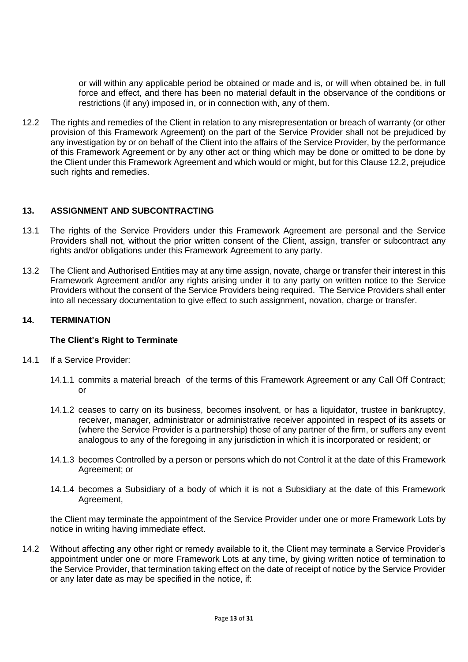or will within any applicable period be obtained or made and is, or will when obtained be, in full force and effect, and there has been no material default in the observance of the conditions or restrictions (if any) imposed in, or in connection with, any of them.

12.2 The rights and remedies of the Client in relation to any misrepresentation or breach of warranty (or other provision of this Framework Agreement) on the part of the Service Provider shall not be prejudiced by any investigation by or on behalf of the Client into the affairs of the Service Provider, by the performance of this Framework Agreement or by any other act or thing which may be done or omitted to be done by the Client under this Framework Agreement and which would or might, but for this Clause 12.2, prejudice such rights and remedies.

# **13. ASSIGNMENT AND SUBCONTRACTING**

- 13.1 The rights of the Service Providers under this Framework Agreement are personal and the Service Providers shall not, without the prior written consent of the Client, assign, transfer or subcontract any rights and/or obligations under this Framework Agreement to any party.
- 13.2 The Client and Authorised Entities may at any time assign, novate, charge or transfer their interest in this Framework Agreement and/or any rights arising under it to any party on written notice to the Service Providers without the consent of the Service Providers being required. The Service Providers shall enter into all necessary documentation to give effect to such assignment, novation, charge or transfer.

# **14. TERMINATION**

# **The Client's Right to Terminate**

- 14.1 If a Service Provider:
	- 14.1.1 commits a material breach of the terms of this Framework Agreement or any Call Off Contract; or
	- 14.1.2 ceases to carry on its business, becomes insolvent, or has a liquidator, trustee in bankruptcy, receiver, manager, administrator or administrative receiver appointed in respect of its assets or (where the Service Provider is a partnership) those of any partner of the firm, or suffers any event analogous to any of the foregoing in any jurisdiction in which it is incorporated or resident; or
	- 14.1.3 becomes Controlled by a person or persons which do not Control it at the date of this Framework Agreement; or
	- 14.1.4 becomes a Subsidiary of a body of which it is not a Subsidiary at the date of this Framework Agreement,

the Client may terminate the appointment of the Service Provider under one or more Framework Lots by notice in writing having immediate effect.

14.2 Without affecting any other right or remedy available to it, the Client may terminate a Service Provider's appointment under one or more Framework Lots at any time, by giving written notice of termination to the Service Provider, that termination taking effect on the date of receipt of notice by the Service Provider or any later date as may be specified in the notice, if: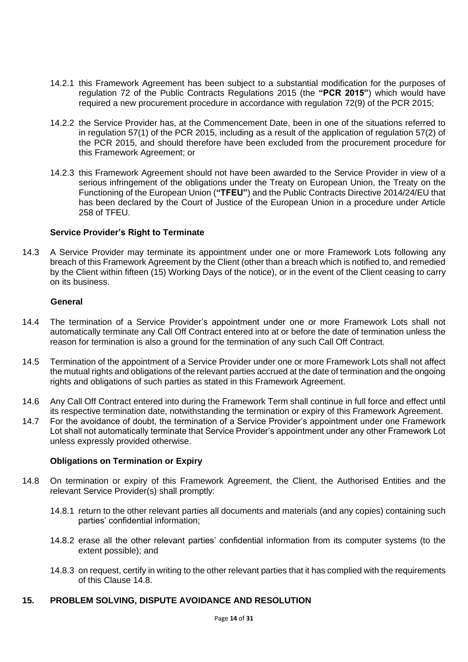- 14.2.1 this Framework Agreement has been subject to a substantial modification for the purposes of regulation 72 of the Public Contracts Regulations 2015 (the **"PCR 2015"**) which would have required a new procurement procedure in accordance with regulation 72(9) of the PCR 2015;
- 14.2.2 the Service Provider has, at the Commencement Date, been in one of the situations referred to in regulation 57(1) of the PCR 2015, including as a result of the application of regulation 57(2) of the PCR 2015, and should therefore have been excluded from the procurement procedure for this Framework Agreement; or
- 14.2.3 this Framework Agreement should not have been awarded to the Service Provider in view of a serious infringement of the obligations under the Treaty on European Union, the Treaty on the Functioning of the European Union (**"TFEU"**) and the Public Contracts Directive 2014/24/EU that has been declared by the Court of Justice of the European Union in a procedure under Article 258 of TFEU.

#### **Service Provider's Right to Terminate**

14.3 A Service Provider may terminate its appointment under one or more Framework Lots following any breach of this Framework Agreement by the Client (other than a breach which is notified to, and remedied by the Client within fifteen (15) Working Days of the notice), or in the event of the Client ceasing to carry on its business.

#### **General**

- 14.4 The termination of a Service Provider's appointment under one or more Framework Lots shall not automatically terminate any Call Off Contract entered into at or before the date of termination unless the reason for termination is also a ground for the termination of any such Call Off Contract.
- 14.5 Termination of the appointment of a Service Provider under one or more Framework Lots shall not affect the mutual rights and obligations of the relevant parties accrued at the date of termination and the ongoing rights and obligations of such parties as stated in this Framework Agreement.
- 14.6 Any Call Off Contract entered into during the Framework Term shall continue in full force and effect until its respective termination date, notwithstanding the termination or expiry of this Framework Agreement.
- 14.7 For the avoidance of doubt, the termination of a Service Provider's appointment under one Framework Lot shall not automatically terminate that Service Provider's appointment under any other Framework Lot unless expressly provided otherwise.

#### **Obligations on Termination or Expiry**

- 14.8 On termination or expiry of this Framework Agreement, the Client, the Authorised Entities and the relevant Service Provider(s) shall promptly:
	- 14.8.1 return to the other relevant parties all documents and materials (and any copies) containing such parties' confidential information;
	- 14.8.2 erase all the other relevant parties' confidential information from its computer systems (to the extent possible); and
	- 14.8.3 on request, certify in writing to the other relevant parties that it has complied with the requirements of this Clause 14.8.

# **15. PROBLEM SOLVING, DISPUTE AVOIDANCE AND RESOLUTION**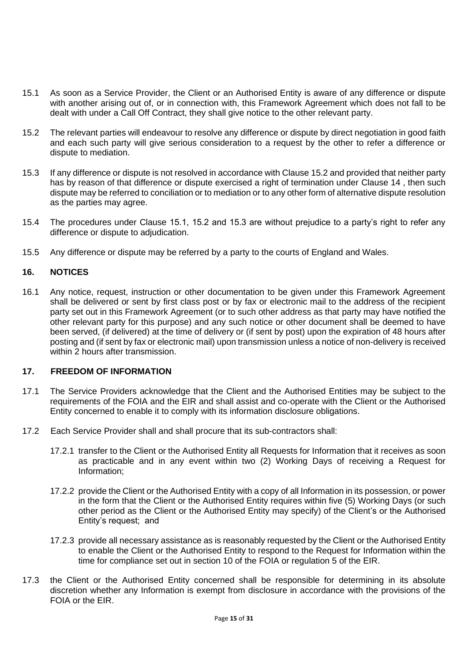- 15.1 As soon as a Service Provider, the Client or an Authorised Entity is aware of any difference or dispute with another arising out of, or in connection with, this Framework Agreement which does not fall to be dealt with under a Call Off Contract, they shall give notice to the other relevant party.
- 15.2 The relevant parties will endeavour to resolve any difference or dispute by direct negotiation in good faith and each such party will give serious consideration to a request by the other to refer a difference or dispute to mediation.
- 15.3 If any difference or dispute is not resolved in accordance with Clause 15.2 and provided that neither party has by reason of that difference or dispute exercised a right of termination under Clause 14 , then such dispute may be referred to conciliation or to mediation or to any other form of alternative dispute resolution as the parties may agree.
- 15.4 The procedures under Clause 15.1, 15.2 and 15.3 are without prejudice to a party's right to refer any difference or dispute to adjudication.
- 15.5 Any difference or dispute may be referred by a party to the courts of England and Wales.

# **16. NOTICES**

16.1 Any notice, request, instruction or other documentation to be given under this Framework Agreement shall be delivered or sent by first class post or by fax or electronic mail to the address of the recipient party set out in this Framework Agreement (or to such other address as that party may have notified the other relevant party for this purpose) and any such notice or other document shall be deemed to have been served, (if delivered) at the time of delivery or (if sent by post) upon the expiration of 48 hours after posting and (if sent by fax or electronic mail) upon transmission unless a notice of non-delivery is received within 2 hours after transmission.

#### **17. FREEDOM OF INFORMATION**

- 17.1 The Service Providers acknowledge that the Client and the Authorised Entities may be subject to the requirements of the FOIA and the EIR and shall assist and co-operate with the Client or the Authorised Entity concerned to enable it to comply with its information disclosure obligations.
- 17.2 Each Service Provider shall and shall procure that its sub-contractors shall:
	- 17.2.1 transfer to the Client or the Authorised Entity all Requests for Information that it receives as soon as practicable and in any event within two (2) Working Days of receiving a Request for Information;
	- 17.2.2 provide the Client or the Authorised Entity with a copy of all Information in its possession, or power in the form that the Client or the Authorised Entity requires within five (5) Working Days (or such other period as the Client or the Authorised Entity may specify) of the Client's or the Authorised Entity's request; and
	- 17.2.3 provide all necessary assistance as is reasonably requested by the Client or the Authorised Entity to enable the Client or the Authorised Entity to respond to the Request for Information within the time for compliance set out in section 10 of the FOIA or regulation 5 of the EIR.
- 17.3 the Client or the Authorised Entity concerned shall be responsible for determining in its absolute discretion whether any Information is exempt from disclosure in accordance with the provisions of the FOIA or the EIR.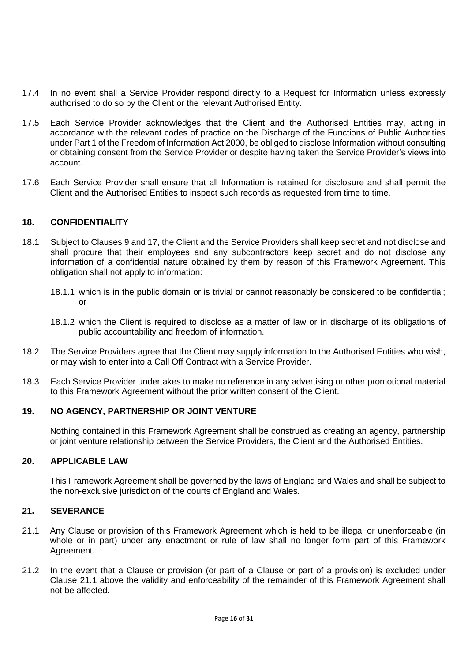- 17.4 In no event shall a Service Provider respond directly to a Request for Information unless expressly authorised to do so by the Client or the relevant Authorised Entity.
- 17.5 Each Service Provider acknowledges that the Client and the Authorised Entities may, acting in accordance with the relevant codes of practice on the Discharge of the Functions of Public Authorities under Part 1 of the Freedom of Information Act 2000, be obliged to disclose Information without consulting or obtaining consent from the Service Provider or despite having taken the Service Provider's views into account.
- 17.6 Each Service Provider shall ensure that all Information is retained for disclosure and shall permit the Client and the Authorised Entities to inspect such records as requested from time to time.

# **18. CONFIDENTIALITY**

- 18.1 Subject to Clauses 9 and 17, the Client and the Service Providers shall keep secret and not disclose and shall procure that their employees and any subcontractors keep secret and do not disclose any information of a confidential nature obtained by them by reason of this Framework Agreement. This obligation shall not apply to information:
	- 18.1.1 which is in the public domain or is trivial or cannot reasonably be considered to be confidential; or
	- 18.1.2 which the Client is required to disclose as a matter of law or in discharge of its obligations of public accountability and freedom of information.
- 18.2 The Service Providers agree that the Client may supply information to the Authorised Entities who wish, or may wish to enter into a Call Off Contract with a Service Provider.
- 18.3 Each Service Provider undertakes to make no reference in any advertising or other promotional material to this Framework Agreement without the prior written consent of the Client.

# **19. NO AGENCY, PARTNERSHIP OR JOINT VENTURE**

Nothing contained in this Framework Agreement shall be construed as creating an agency, partnership or joint venture relationship between the Service Providers, the Client and the Authorised Entities.

# **20. APPLICABLE LAW**

This Framework Agreement shall be governed by the laws of England and Wales and shall be subject to the non-exclusive jurisdiction of the courts of England and Wales.

#### **21. SEVERANCE**

- 21.1 Any Clause or provision of this Framework Agreement which is held to be illegal or unenforceable (in whole or in part) under any enactment or rule of law shall no longer form part of this Framework Agreement.
- 21.2 In the event that a Clause or provision (or part of a Clause or part of a provision) is excluded under Clause 21.1 above the validity and enforceability of the remainder of this Framework Agreement shall not be affected.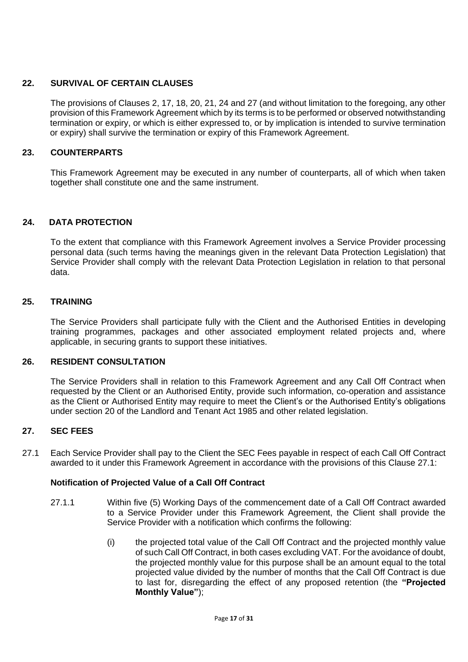# **22. SURVIVAL OF CERTAIN CLAUSES**

The provisions of Clauses 2, 17, 18, 20, 21, 24 and 27 (and without limitation to the foregoing, any other provision of this Framework Agreement which by its terms is to be performed or observed notwithstanding termination or expiry, or which is either expressed to, or by implication is intended to survive termination or expiry) shall survive the termination or expiry of this Framework Agreement.

# **23. COUNTERPARTS**

This Framework Agreement may be executed in any number of counterparts, all of which when taken together shall constitute one and the same instrument.

# **24. DATA PROTECTION**

To the extent that compliance with this Framework Agreement involves a Service Provider processing personal data (such terms having the meanings given in the relevant Data Protection Legislation) that Service Provider shall comply with the relevant Data Protection Legislation in relation to that personal data.

# **25. TRAINING**

The Service Providers shall participate fully with the Client and the Authorised Entities in developing training programmes, packages and other associated employment related projects and, where applicable, in securing grants to support these initiatives.

# **26. RESIDENT CONSULTATION**

The Service Providers shall in relation to this Framework Agreement and any Call Off Contract when requested by the Client or an Authorised Entity, provide such information, co-operation and assistance as the Client or Authorised Entity may require to meet the Client's or the Authorised Entity's obligations under section 20 of the Landlord and Tenant Act 1985 and other related legislation.

# **27. SEC FEES**

27.1 Each Service Provider shall pay to the Client the SEC Fees payable in respect of each Call Off Contract awarded to it under this Framework Agreement in accordance with the provisions of this Clause 27.1:

# **Notification of Projected Value of a Call Off Contract**

- 27.1.1 Within five (5) Working Days of the commencement date of a Call Off Contract awarded to a Service Provider under this Framework Agreement, the Client shall provide the Service Provider with a notification which confirms the following:
	- (i) the projected total value of the Call Off Contract and the projected monthly value of such Call Off Contract, in both cases excluding VAT. For the avoidance of doubt, the projected monthly value for this purpose shall be an amount equal to the total projected value divided by the number of months that the Call Off Contract is due to last for, disregarding the effect of any proposed retention (the **"Projected Monthly Value"**);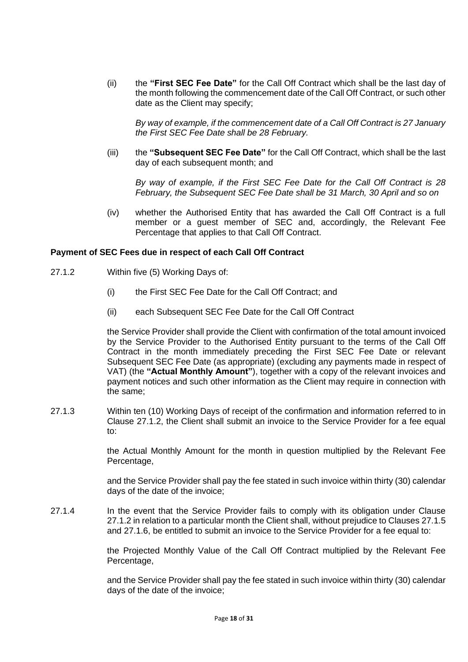(ii) the **"First SEC Fee Date"** for the Call Off Contract which shall be the last day of the month following the commencement date of the Call Off Contract, or such other date as the Client may specify;

*By way of example, if the commencement date of a Call Off Contract is 27 January the First SEC Fee Date shall be 28 February.*

(iii) the **"Subsequent SEC Fee Date"** for the Call Off Contract, which shall be the last day of each subsequent month; and

*By way of example, if the First SEC Fee Date for the Call Off Contract is 28 February, the Subsequent SEC Fee Date shall be 31 March, 30 April and so on*

(iv) whether the Authorised Entity that has awarded the Call Off Contract is a full member or a guest member of SEC and, accordingly, the Relevant Fee Percentage that applies to that Call Off Contract.

#### **Payment of SEC Fees due in respect of each Call Off Contract**

- 27.1.2 Within five (5) Working Days of:
	- (i) the First SEC Fee Date for the Call Off Contract; and
	- (ii) each Subsequent SEC Fee Date for the Call Off Contract

the Service Provider shall provide the Client with confirmation of the total amount invoiced by the Service Provider to the Authorised Entity pursuant to the terms of the Call Off Contract in the month immediately preceding the First SEC Fee Date or relevant Subsequent SEC Fee Date (as appropriate) (excluding any payments made in respect of VAT) (the **"Actual Monthly Amount"**), together with a copy of the relevant invoices and payment notices and such other information as the Client may require in connection with the same;

27.1.3 Within ten (10) Working Days of receipt of the confirmation and information referred to in Clause 27.1.2, the Client shall submit an invoice to the Service Provider for a fee equal to:

> the Actual Monthly Amount for the month in question multiplied by the Relevant Fee Percentage,

> and the Service Provider shall pay the fee stated in such invoice within thirty (30) calendar days of the date of the invoice;

27.1.4 In the event that the Service Provider fails to comply with its obligation under Clause 27.1.2 in relation to a particular month the Client shall, without prejudice to Clauses 27.1.5 and 27.1.6, be entitled to submit an invoice to the Service Provider for a fee equal to:

> the Projected Monthly Value of the Call Off Contract multiplied by the Relevant Fee Percentage,

> and the Service Provider shall pay the fee stated in such invoice within thirty (30) calendar days of the date of the invoice;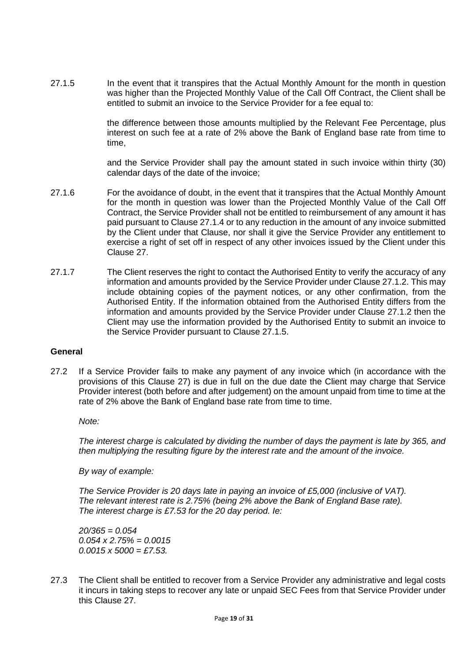27.1.5 In the event that it transpires that the Actual Monthly Amount for the month in question was higher than the Projected Monthly Value of the Call Off Contract, the Client shall be entitled to submit an invoice to the Service Provider for a fee equal to:

> the difference between those amounts multiplied by the Relevant Fee Percentage, plus interest on such fee at a rate of 2% above the Bank of England base rate from time to time,

> and the Service Provider shall pay the amount stated in such invoice within thirty (30) calendar days of the date of the invoice;

- 27.1.6 For the avoidance of doubt, in the event that it transpires that the Actual Monthly Amount for the month in question was lower than the Projected Monthly Value of the Call Off Contract, the Service Provider shall not be entitled to reimbursement of any amount it has paid pursuant to Clause 27.1.4 or to any reduction in the amount of any invoice submitted by the Client under that Clause, nor shall it give the Service Provider any entitlement to exercise a right of set off in respect of any other invoices issued by the Client under this Clause 27.
- 27.1.7 The Client reserves the right to contact the Authorised Entity to verify the accuracy of any information and amounts provided by the Service Provider under Clause 27.1.2. This may include obtaining copies of the payment notices, or any other confirmation, from the Authorised Entity. If the information obtained from the Authorised Entity differs from the information and amounts provided by the Service Provider under Clause 27.1.2 then the Client may use the information provided by the Authorised Entity to submit an invoice to the Service Provider pursuant to Clause 27.1.5.

#### **General**

27.2 If a Service Provider fails to make any payment of any invoice which (in accordance with the provisions of this Clause 27) is due in full on the due date the Client may charge that Service Provider interest (both before and after judgement) on the amount unpaid from time to time at the rate of 2% above the Bank of England base rate from time to time.

*Note:*

*The interest charge is calculated by dividing the number of days the payment is late by 365, and then multiplying the resulting figure by the interest rate and the amount of the invoice.* 

*By way of example:* 

*The Service Provider is 20 days late in paying an invoice of £5,000 (inclusive of VAT). The relevant interest rate is 2.75% (being 2% above the Bank of England Base rate). The interest charge is £7.53 for the 20 day period. Ie:*

*20/365 = 0.054 0.054 x 2.75% = 0.0015 0.0015 x 5000 = £7.53.*

27.3 The Client shall be entitled to recover from a Service Provider any administrative and legal costs it incurs in taking steps to recover any late or unpaid SEC Fees from that Service Provider under this Clause 27.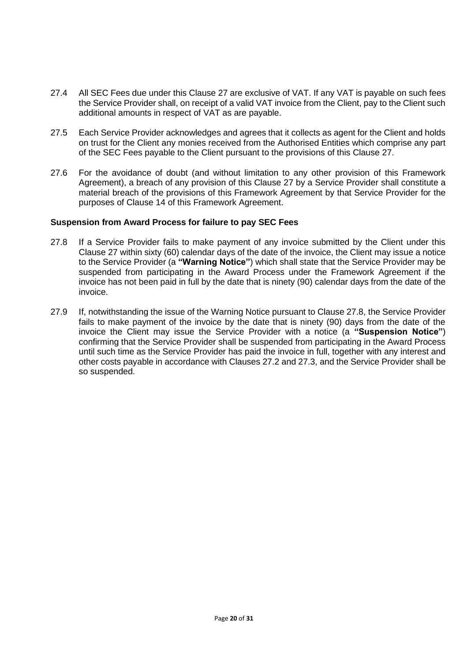- 27.4 All SEC Fees due under this Clause 27 are exclusive of VAT. If any VAT is payable on such fees the Service Provider shall, on receipt of a valid VAT invoice from the Client, pay to the Client such additional amounts in respect of VAT as are payable.
- 27.5 Each Service Provider acknowledges and agrees that it collects as agent for the Client and holds on trust for the Client any monies received from the Authorised Entities which comprise any part of the SEC Fees payable to the Client pursuant to the provisions of this Clause 27.
- 27.6 For the avoidance of doubt (and without limitation to any other provision of this Framework Agreement), a breach of any provision of this Clause 27 by a Service Provider shall constitute a material breach of the provisions of this Framework Agreement by that Service Provider for the purposes of Clause 14 of this Framework Agreement.

#### **Suspension from Award Process for failure to pay SEC Fees**

- 27.8 If a Service Provider fails to make payment of any invoice submitted by the Client under this Clause 27 within sixty (60) calendar days of the date of the invoice, the Client may issue a notice to the Service Provider (a **"Warning Notice"**) which shall state that the Service Provider may be suspended from participating in the Award Process under the Framework Agreement if the invoice has not been paid in full by the date that is ninety (90) calendar days from the date of the invoice.
- 27.9 If, notwithstanding the issue of the Warning Notice pursuant to Clause 27.8, the Service Provider fails to make payment of the invoice by the date that is ninety (90) days from the date of the invoice the Client may issue the Service Provider with a notice (a **"Suspension Notice"**) confirming that the Service Provider shall be suspended from participating in the Award Process until such time as the Service Provider has paid the invoice in full, together with any interest and other costs payable in accordance with Clauses 27.2 and 27.3, and the Service Provider shall be so suspended.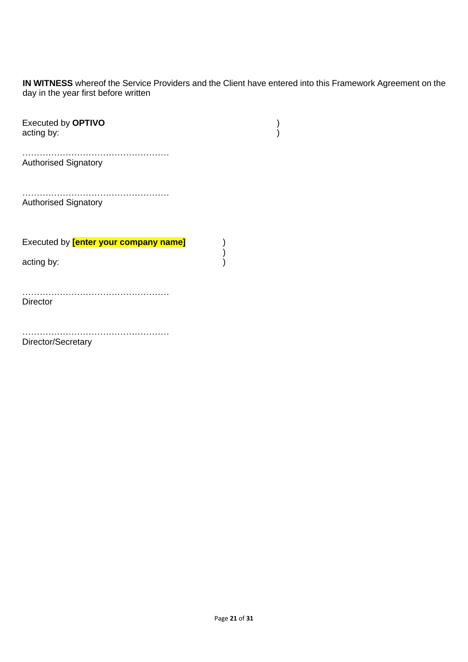**IN WITNESS** whereof the Service Providers and the Client have entered into this Framework Agreement on the day in the year first before written

| <b>Executed by OPTIVO</b><br>acting by:      |  |
|----------------------------------------------|--|
| <b>Authorised Signatory</b>                  |  |
| <b>Authorised Signatory</b>                  |  |
| Executed by <b>[enter your company name]</b> |  |
| acting by:                                   |  |
| <b>Director</b>                              |  |
| Director/Secretary                           |  |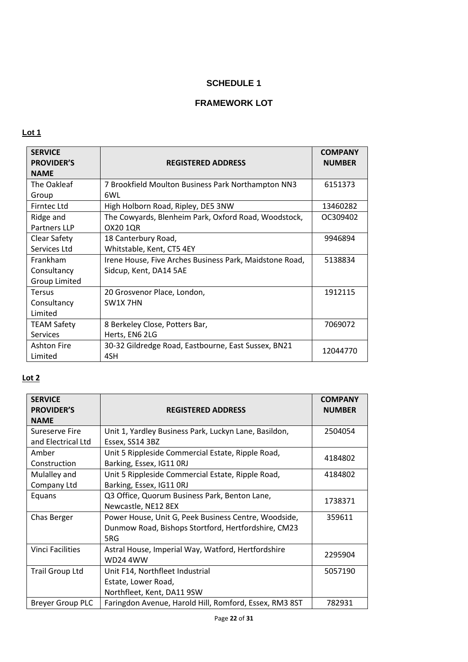# **FRAMEWORK LOT**

# **Lot 1**

| <b>SERVICE</b><br><b>PROVIDER'S</b><br><b>NAME</b> | <b>REGISTERED ADDRESS</b>                               | <b>COMPANY</b><br><b>NUMBER</b> |
|----------------------------------------------------|---------------------------------------------------------|---------------------------------|
| The Oakleaf                                        | 7 Brookfield Moulton Business Park Northampton NN3      | 6151373                         |
| Group                                              | 6WL                                                     |                                 |
| <b>Firntec Ltd</b>                                 | High Holborn Road, Ripley, DE5 3NW                      | 13460282                        |
| Ridge and                                          | The Cowyards, Blenheim Park, Oxford Road, Woodstock,    | OC309402                        |
| Partners LLP                                       | OX20 1QR                                                |                                 |
| <b>Clear Safety</b>                                | 18 Canterbury Road,                                     | 9946894                         |
| Services Ltd                                       | Whitstable, Kent, CT5 4EY                               |                                 |
| Frankham                                           | Irene House, Five Arches Business Park, Maidstone Road, | 5138834                         |
| Consultancy                                        | Sidcup, Kent, DA14 5AE                                  |                                 |
| Group Limited                                      |                                                         |                                 |
| <b>Tersus</b>                                      | 20 Grosvenor Place, London,                             | 1912115                         |
| Consultancy                                        | SW1X 7HN                                                |                                 |
| Limited                                            |                                                         |                                 |
| <b>TEAM Safety</b>                                 | 8 Berkeley Close, Potters Bar,                          | 7069072                         |
| <b>Services</b>                                    | Herts, EN6 2LG                                          |                                 |
| <b>Ashton Fire</b>                                 | 30-32 Gildredge Road, Eastbourne, East Sussex, BN21     | 12044770                        |
| Limited                                            | 4SH                                                     |                                 |

| <b>SERVICE</b><br><b>PROVIDER'S</b><br><b>NAME</b> | <b>REGISTERED ADDRESS</b>                                                                                          | <b>COMPANY</b><br><b>NUMBER</b> |
|----------------------------------------------------|--------------------------------------------------------------------------------------------------------------------|---------------------------------|
| Sureserve Fire<br>and Electrical Ltd               | Unit 1, Yardley Business Park, Luckyn Lane, Basildon,<br>Essex, SS14 3BZ                                           | 2504054                         |
| Amber<br>Construction                              | Unit 5 Rippleside Commercial Estate, Ripple Road,<br>Barking, Essex, IG11 ORJ                                      | 4184802                         |
| Mulalley and<br>Company Ltd                        | Unit 5 Rippleside Commercial Estate, Ripple Road,<br>Barking, Essex, IG11 ORJ                                      | 4184802                         |
| Equans                                             | Q3 Office, Quorum Business Park, Benton Lane,<br>Newcastle, NE12 8EX                                               | 1738371                         |
| Chas Berger                                        | Power House, Unit G, Peek Business Centre, Woodside,<br>Dunmow Road, Bishops Stortford, Hertfordshire, CM23<br>5RG | 359611                          |
| <b>Vinci Facilities</b>                            | Astral House, Imperial Way, Watford, Hertfordshire<br><b>WD24 4WW</b>                                              | 2295904                         |
| Trail Group Ltd                                    | Unit F14, Northfleet Industrial<br>Estate, Lower Road,<br>Northfleet, Kent, DA11 9SW                               | 5057190                         |
| <b>Breyer Group PLC</b>                            | Faringdon Avenue, Harold Hill, Romford, Essex, RM3 8ST                                                             | 782931                          |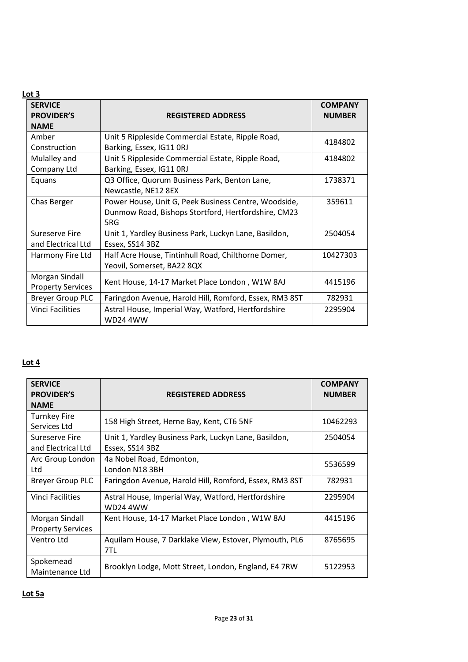# **Lot 3**

| <b>SERVICE</b><br><b>PROVIDER'S</b><br><b>NAME</b> | <b>REGISTERED ADDRESS</b>                                                                                          | <b>COMPANY</b><br><b>NUMBER</b> |
|----------------------------------------------------|--------------------------------------------------------------------------------------------------------------------|---------------------------------|
| Amber                                              | Unit 5 Rippleside Commercial Estate, Ripple Road,                                                                  |                                 |
| Construction                                       | Barking, Essex, IG11 ORJ                                                                                           | 4184802                         |
| Mulalley and<br>Company Ltd                        | Unit 5 Rippleside Commercial Estate, Ripple Road,<br>Barking, Essex, IG11 ORJ                                      | 4184802                         |
| Equans                                             | Q3 Office, Quorum Business Park, Benton Lane,<br>Newcastle, NE12 8EX                                               | 1738371                         |
| Chas Berger                                        | Power House, Unit G, Peek Business Centre, Woodside,<br>Dunmow Road, Bishops Stortford, Hertfordshire, CM23<br>5RG | 359611                          |
| Sureserve Fire<br>and Electrical Ltd               | Unit 1, Yardley Business Park, Luckyn Lane, Basildon,<br>Essex, SS14 3BZ                                           | 2504054                         |
| Harmony Fire Ltd                                   | Half Acre House, Tintinhull Road, Chilthorne Domer,<br>Yeovil, Somerset, BA22 8QX                                  | 10427303                        |
| Morgan Sindall<br><b>Property Services</b>         | Kent House, 14-17 Market Place London, W1W 8AJ                                                                     | 4415196                         |
| <b>Breyer Group PLC</b>                            | Faringdon Avenue, Harold Hill, Romford, Essex, RM3 8ST                                                             | 782931                          |
| Vinci Facilities                                   | Astral House, Imperial Way, Watford, Hertfordshire<br><b>WD24 4WW</b>                                              | 2295904                         |

| <b>SERVICE</b><br><b>PROVIDER'S</b><br><b>NAME</b> | <b>REGISTERED ADDRESS</b>                                             | <b>COMPANY</b><br><b>NUMBER</b> |
|----------------------------------------------------|-----------------------------------------------------------------------|---------------------------------|
|                                                    |                                                                       |                                 |
| <b>Turnkey Fire</b>                                | 158 High Street, Herne Bay, Kent, CT6 5NF                             | 10462293                        |
| Services Ltd                                       |                                                                       |                                 |
| Sureserve Fire                                     | Unit 1, Yardley Business Park, Luckyn Lane, Basildon,                 | 2504054                         |
| and Electrical Ltd                                 | Essex, SS14 3BZ                                                       |                                 |
| Arc Group London                                   | 4a Nobel Road, Edmonton,                                              | 5536599                         |
| Ltd                                                | London N18 3BH                                                        |                                 |
| <b>Breyer Group PLC</b>                            | Faringdon Avenue, Harold Hill, Romford, Essex, RM3 8ST                | 782931                          |
| Vinci Facilities                                   | Astral House, Imperial Way, Watford, Hertfordshire<br><b>WD24 4WW</b> | 2295904                         |
| Morgan Sindall                                     | Kent House, 14-17 Market Place London, W1W 8AJ                        | 4415196                         |
| <b>Property Services</b>                           |                                                                       |                                 |
| Ventro Ltd                                         | Aquilam House, 7 Darklake View, Estover, Plymouth, PL6                | 8765695                         |
|                                                    | 7TL                                                                   |                                 |
| Spokemead                                          |                                                                       |                                 |
| Maintenance Ltd                                    | Brooklyn Lodge, Mott Street, London, England, E4 7RW                  | 5122953                         |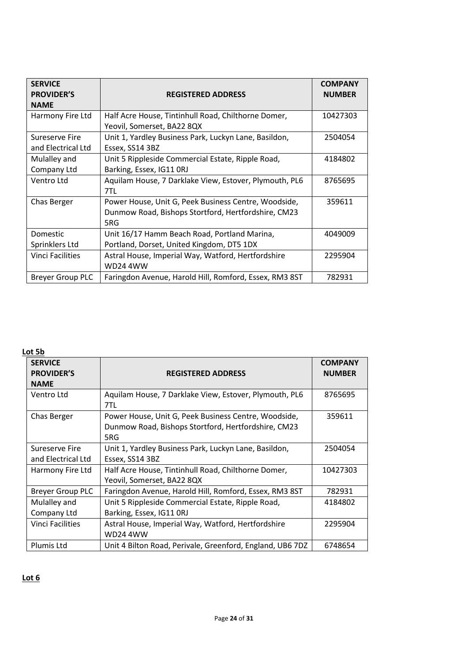| <b>SERVICE</b><br><b>PROVIDER'S</b><br><b>NAME</b> | <b>REGISTERED ADDRESS</b>                                                                                          | <b>COMPANY</b><br><b>NUMBER</b> |
|----------------------------------------------------|--------------------------------------------------------------------------------------------------------------------|---------------------------------|
| Harmony Fire Ltd                                   | Half Acre House, Tintinhull Road, Chilthorne Domer,<br>Yeovil, Somerset, BA22 8QX                                  | 10427303                        |
| Sureserve Fire<br>and Electrical Ltd               | Unit 1, Yardley Business Park, Luckyn Lane, Basildon,<br>Essex, SS14 3BZ                                           | 2504054                         |
| Mulalley and<br>Company Ltd                        | Unit 5 Rippleside Commercial Estate, Ripple Road,<br>Barking, Essex, IG11 ORJ                                      | 4184802                         |
| Ventro Ltd                                         | Aquilam House, 7 Darklake View, Estover, Plymouth, PL6<br>7TL                                                      | 8765695                         |
| Chas Berger                                        | Power House, Unit G, Peek Business Centre, Woodside,<br>Dunmow Road, Bishops Stortford, Hertfordshire, CM23<br>5RG | 359611                          |
| Domestic<br>Sprinklers Ltd                         | Unit 16/17 Hamm Beach Road, Portland Marina,<br>Portland, Dorset, United Kingdom, DT5 1DX                          | 4049009                         |
| Vinci Facilities                                   | Astral House, Imperial Way, Watford, Hertfordshire<br><b>WD24 4WW</b>                                              | 2295904                         |
| <b>Breyer Group PLC</b>                            | Faringdon Avenue, Harold Hill, Romford, Essex, RM3 8ST                                                             | 782931                          |

# **Lot 5b**

| <b>SERVICE</b>          |                                                           | <b>COMPANY</b> |
|-------------------------|-----------------------------------------------------------|----------------|
| <b>PROVIDER'S</b>       | <b>REGISTERED ADDRESS</b>                                 | <b>NUMBER</b>  |
| <b>NAME</b>             |                                                           |                |
| Ventro Ltd              | Aquilam House, 7 Darklake View, Estover, Plymouth, PL6    | 8765695        |
|                         | 7TL                                                       |                |
| Chas Berger             | Power House, Unit G, Peek Business Centre, Woodside,      | 359611         |
|                         | Dunmow Road, Bishops Stortford, Hertfordshire, CM23       |                |
|                         | 5RG                                                       |                |
| Sureserve Fire          | Unit 1, Yardley Business Park, Luckyn Lane, Basildon,     | 2504054        |
| and Electrical Ltd      | Essex, SS14 3BZ                                           |                |
| Harmony Fire Ltd        | Half Acre House, Tintinhull Road, Chilthorne Domer,       | 10427303       |
|                         | Yeovil, Somerset, BA22 8QX                                |                |
| <b>Breyer Group PLC</b> | Faringdon Avenue, Harold Hill, Romford, Essex, RM3 8ST    | 782931         |
| Mulalley and            | Unit 5 Rippleside Commercial Estate, Ripple Road,         | 4184802        |
| Company Ltd             | Barking, Essex, IG11 ORJ                                  |                |
| <b>Vinci Facilities</b> | Astral House, Imperial Way, Watford, Hertfordshire        | 2295904        |
|                         | <b>WD24 4WW</b>                                           |                |
| Plumis Ltd              | Unit 4 Bilton Road, Perivale, Greenford, England, UB6 7DZ | 6748654        |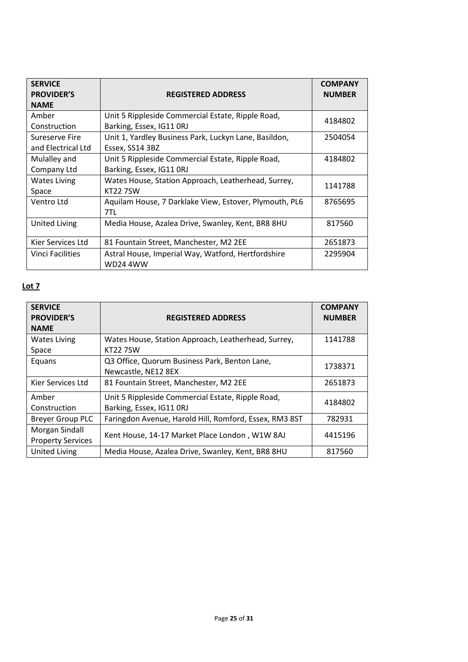| <b>SERVICE</b><br><b>PROVIDER'S</b><br><b>NAME</b> | <b>REGISTERED ADDRESS</b>                                                     | <b>COMPANY</b><br><b>NUMBER</b> |
|----------------------------------------------------|-------------------------------------------------------------------------------|---------------------------------|
| Amber<br>Construction                              | Unit 5 Rippleside Commercial Estate, Ripple Road,<br>Barking, Essex, IG11 ORJ | 4184802                         |
| Sureserve Fire<br>and Electrical Ltd               | Unit 1, Yardley Business Park, Luckyn Lane, Basildon,<br>Essex, SS14 3BZ      | 2504054                         |
| Mulalley and<br>Company Ltd                        | Unit 5 Rippleside Commercial Estate, Ripple Road,<br>Barking, Essex, IG11 ORJ | 4184802                         |
| <b>Wates Living</b><br>Space                       | Wates House, Station Approach, Leatherhead, Surrey,<br><b>KT227SW</b>         | 1141788                         |
| Ventro Ltd                                         | Aquilam House, 7 Darklake View, Estover, Plymouth, PL6<br>7TL                 | 8765695                         |
| <b>United Living</b>                               | Media House, Azalea Drive, Swanley, Kent, BR8 8HU                             | 817560                          |
| Kier Services Ltd                                  | 81 Fountain Street, Manchester, M2 2EE                                        | 2651873                         |
| Vinci Facilities                                   | Astral House, Imperial Way, Watford, Hertfordshire<br><b>WD24 4WW</b>         | 2295904                         |

| <b>SERVICE</b><br><b>PROVIDER'S</b><br><b>NAME</b> | <b>REGISTERED ADDRESS</b>                                                     | <b>COMPANY</b><br><b>NUMBER</b> |
|----------------------------------------------------|-------------------------------------------------------------------------------|---------------------------------|
| <b>Wates Living</b>                                | Wates House, Station Approach, Leatherhead, Surrey,                           | 1141788                         |
| Space                                              | <b>KT2275W</b>                                                                |                                 |
| Equans                                             | Q3 Office, Quorum Business Park, Benton Lane,<br>Newcastle, NE12 8EX          | 1738371                         |
| Kier Services Ltd                                  | 81 Fountain Street, Manchester, M2 2EE                                        | 2651873                         |
| Amber<br>Construction                              | Unit 5 Rippleside Commercial Estate, Ripple Road,<br>Barking, Essex, IG11 ORJ | 4184802                         |
| <b>Breyer Group PLC</b>                            | Faringdon Avenue, Harold Hill, Romford, Essex, RM3 8ST                        | 782931                          |
| Morgan Sindall<br><b>Property Services</b>         | Kent House, 14-17 Market Place London, W1W 8AJ                                | 4415196                         |
| <b>United Living</b>                               | Media House, Azalea Drive, Swanley, Kent, BR8 8HU                             | 817560                          |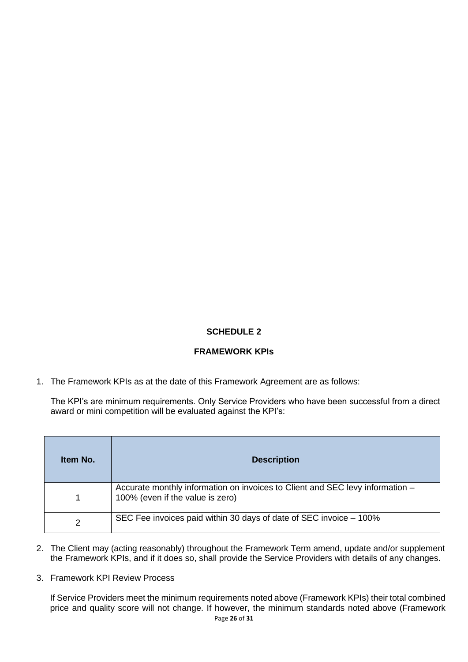# **FRAMEWORK KPIs**

1. The Framework KPIs as at the date of this Framework Agreement are as follows:

The KPI's are minimum requirements. Only Service Providers who have been successful from a direct award or mini competition will be evaluated against the KPI's:

| Item No.      | <b>Description</b>                                                                                                |
|---------------|-------------------------------------------------------------------------------------------------------------------|
|               | Accurate monthly information on invoices to Client and SEC levy information -<br>100% (even if the value is zero) |
| $\mathcal{P}$ | SEC Fee invoices paid within 30 days of date of SEC invoice - 100%                                                |

- 2. The Client may (acting reasonably) throughout the Framework Term amend, update and/or supplement the Framework KPIs, and if it does so, shall provide the Service Providers with details of any changes.
- 3. Framework KPI Review Process

If Service Providers meet the minimum requirements noted above (Framework KPIs) their total combined price and quality score will not change. If however, the minimum standards noted above (Framework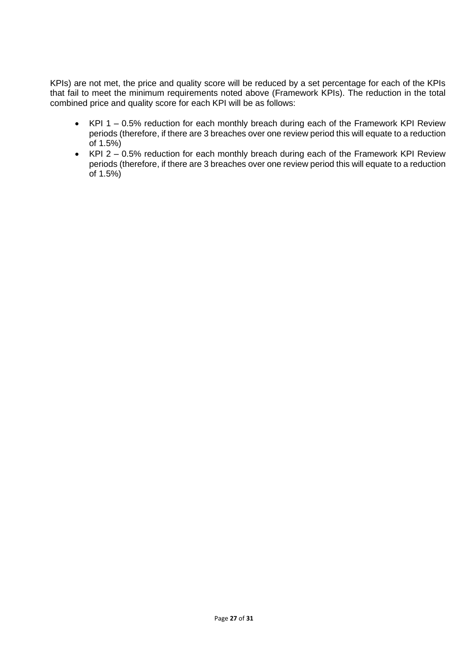KPIs) are not met, the price and quality score will be reduced by a set percentage for each of the KPIs that fail to meet the minimum requirements noted above (Framework KPIs). The reduction in the total combined price and quality score for each KPI will be as follows:

- KPI 1 0.5% reduction for each monthly breach during each of the Framework KPI Review periods (therefore, if there are 3 breaches over one review period this will equate to a reduction of 1.5%)
- KPI 2 0.5% reduction for each monthly breach during each of the Framework KPI Review periods (therefore, if there are 3 breaches over one review period this will equate to a reduction of 1.5%)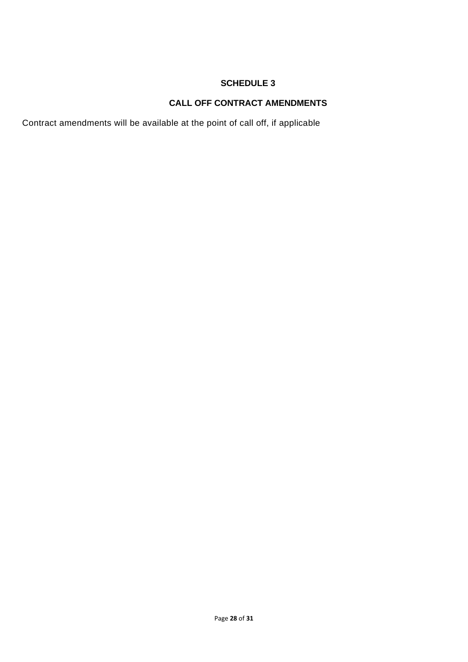# **CALL OFF CONTRACT AMENDMENTS**

Contract amendments will be available at the point of call off, if applicable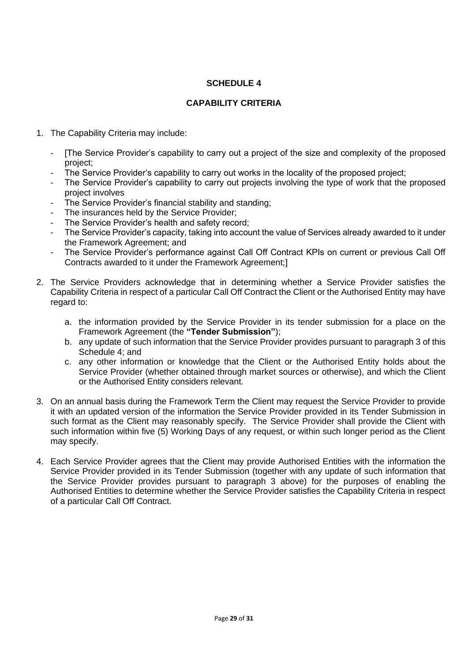# **CAPABILITY CRITERIA**

- 1. The Capability Criteria may include:
	- [The Service Provider's capability to carry out a project of the size and complexity of the proposed project;
	- The Service Provider's capability to carry out works in the locality of the proposed project;
	- The Service Provider's capability to carry out projects involving the type of work that the proposed project involves
	- The Service Provider's financial stability and standing;
	- The insurances held by the Service Provider;
	- The Service Provider's health and safety record;
	- The Service Provider's capacity, taking into account the value of Services already awarded to it under the Framework Agreement; and
	- The Service Provider's performance against Call Off Contract KPIs on current or previous Call Off Contracts awarded to it under the Framework Agreement;]
- 2. The Service Providers acknowledge that in determining whether a Service Provider satisfies the Capability Criteria in respect of a particular Call Off Contract the Client or the Authorised Entity may have regard to:
	- a. the information provided by the Service Provider in its tender submission for a place on the Framework Agreement (the **"Tender Submission"**);
	- b. any update of such information that the Service Provider provides pursuant to paragraph 3 of this Schedule 4; and
	- c. any other information or knowledge that the Client or the Authorised Entity holds about the Service Provider (whether obtained through market sources or otherwise), and which the Client or the Authorised Entity considers relevant.
- 3. On an annual basis during the Framework Term the Client may request the Service Provider to provide it with an updated version of the information the Service Provider provided in its Tender Submission in such format as the Client may reasonably specify. The Service Provider shall provide the Client with such information within five (5) Working Days of any request, or within such longer period as the Client may specify.
- 4. Each Service Provider agrees that the Client may provide Authorised Entities with the information the Service Provider provided in its Tender Submission (together with any update of such information that the Service Provider provides pursuant to paragraph 3 above) for the purposes of enabling the Authorised Entities to determine whether the Service Provider satisfies the Capability Criteria in respect of a particular Call Off Contract.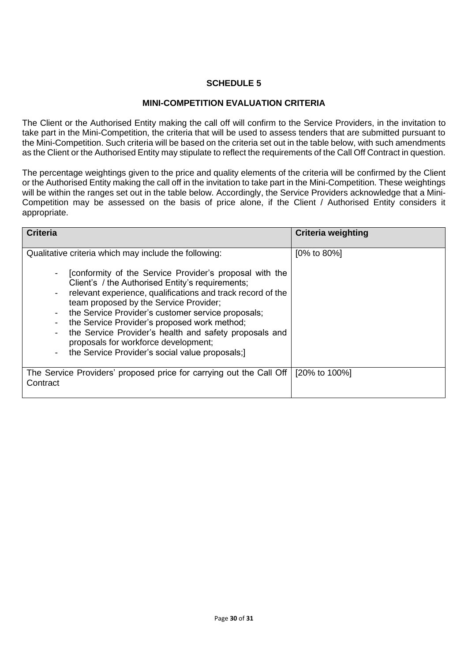# **MINI-COMPETITION EVALUATION CRITERIA**

The Client or the Authorised Entity making the call off will confirm to the Service Providers, in the invitation to take part in the Mini-Competition, the criteria that will be used to assess tenders that are submitted pursuant to the Mini-Competition. Such criteria will be based on the criteria set out in the table below, with such amendments as the Client or the Authorised Entity may stipulate to reflect the requirements of the Call Off Contract in question.

The percentage weightings given to the price and quality elements of the criteria will be confirmed by the Client or the Authorised Entity making the call off in the invitation to take part in the Mini-Competition. These weightings will be within the ranges set out in the table below. Accordingly, the Service Providers acknowledge that a Mini-Competition may be assessed on the basis of price alone, if the Client / Authorised Entity considers it appropriate.

| <b>Criteria</b>                                                                                                                                                                                                                                                                                                                                                                                                                                                                                                                                                      | <b>Criteria weighting</b> |
|----------------------------------------------------------------------------------------------------------------------------------------------------------------------------------------------------------------------------------------------------------------------------------------------------------------------------------------------------------------------------------------------------------------------------------------------------------------------------------------------------------------------------------------------------------------------|---------------------------|
| Qualitative criteria which may include the following:<br>[conformity of the Service Provider's proposal with the<br>Client's / the Authorised Entity's requirements;<br>relevant experience, qualifications and track record of the<br>team proposed by the Service Provider;<br>the Service Provider's customer service proposals;<br>the Service Provider's proposed work method;<br>the Service Provider's health and safety proposals and<br>proposals for workforce development;<br>the Service Provider's social value proposals;)<br>$\overline{\phantom{a}}$ | $[0\% \text{ to } 80\%]$  |
| The Service Providers' proposed price for carrying out the Call Off<br>Contract                                                                                                                                                                                                                                                                                                                                                                                                                                                                                      | [20% to 100%]             |